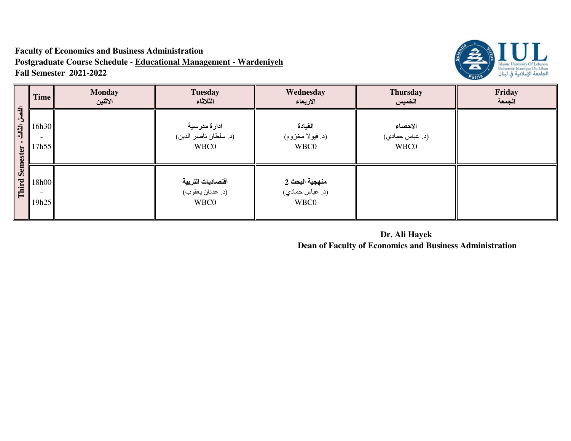## **Faculty of Economics and Business Administration Postgraduate Course Schedule - Educational Management - WardeniyehFall Semester 2021-2022**



| $\overline{d}$<br>$\rightarrow$<br>الثالث<br>ester | <b>Time</b>    | <b>Monday</b><br>الاثنين | <b>Tuesday</b><br>الثلاثاء                           | Wednesday<br>الاربعاء                     | <b>Thursday</b><br>الخميس          | Friday<br>الجمعة |
|----------------------------------------------------|----------------|--------------------------|------------------------------------------------------|-------------------------------------------|------------------------------------|------------------|
|                                                    | 16h30<br>17h55 |                          | ادارة مدرسية<br>(د. سلطان ناصر الدين)<br><b>WBC0</b> | القيادة<br>(د. فيولا مخزوم)<br>WBC0       | الاحصاء<br>(د. عباس حمادي)<br>WBC0 |                  |
| <b>Sem</b><br>Third                                | 18h00<br>19h25 |                          | اقتصاديات التربية<br>(د. عدنان يعقوب)<br>WBC0        | منهجية البحث 2<br>(د. عباس حمادي)<br>WBC0 |                                    |                  |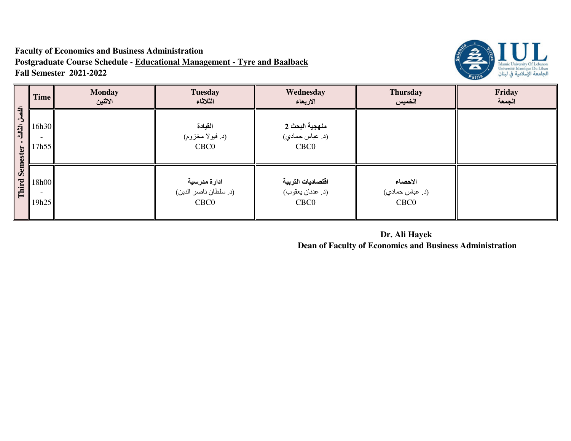## **Faculty of Economics and Business Administration Postgraduate Course Schedule - Educational Management - Tyre and BaalbackFall Semester 2021-2022**



|                                              | <b>Time</b>    | <b>Monday</b><br>الاثنين | <b>Tuesday</b><br>الثلاثاء                                | Wednesday<br>الاربعاء                                     | <b>Thursday</b><br>الخميس                      | Friday<br>الجمعة |
|----------------------------------------------|----------------|--------------------------|-----------------------------------------------------------|-----------------------------------------------------------|------------------------------------------------|------------------|
| $\overline{a}$<br>$\mathbf{A}$<br>司<br>ester | 16h30<br>17h55 |                          | القيادة<br>(د. فيولا مخزوم)<br>CBC <sub>0</sub>           | منهجية البحث 2<br>(د. عباس حمادي)<br>CBC <sub>0</sub>     |                                                |                  |
| <b>Sem</b><br>Third                          | 18h00<br>19h25 |                          | ادارة مدرسية<br>(د. سلطان ناصر الدين)<br>CBC <sub>0</sub> | اقتصاديات التربية<br>(د. عدنان يعقوب)<br>CBC <sub>0</sub> | الاحصاء<br>(د. عباس حمادي)<br>CBC <sub>0</sub> |                  |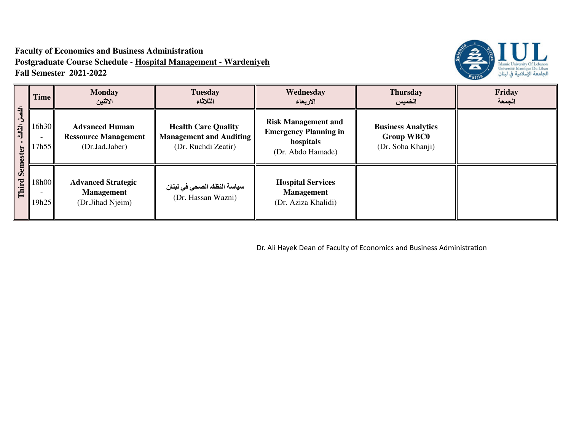## **Faculty of Economics and Business Administration Postgraduate Course Schedule - Hospital Management - WardeniyehFall Semester 2021-2022**



| $\overline{a}$<br>$\rightarrow$<br>目<br>ester<br>Sem<br>Third | Time           | <b>Monday</b><br>الاثنين                                               | <b>Tuesday</b><br>الثلاثاء                                                          | Wednesday<br>الاربعاء                                                                        | <b>Thursday</b><br>الخميس                                           | Friday<br>الجمعة |
|---------------------------------------------------------------|----------------|------------------------------------------------------------------------|-------------------------------------------------------------------------------------|----------------------------------------------------------------------------------------------|---------------------------------------------------------------------|------------------|
|                                                               | 16h30<br>17h55 | <b>Advanced Human</b><br><b>Ressource Management</b><br>(Dr.Jad.Jaber) | <b>Health Care Quality</b><br><b>Management and Auditing</b><br>(Dr. Ruchdi Zeatir) | <b>Risk Management and</b><br><b>Emergency Planning in</b><br>hospitals<br>(Dr. Abdo Hamade) | <b>Business Analytics</b><br><b>Group WBC0</b><br>(Dr. Soha Khanji) |                  |
|                                                               | 18h00<br>19h25 | <b>Advanced Strategic</b><br><b>Management</b><br>(Dr.Jihad Njeim)     | سياسة النظلد الصحي في لبنان<br>(Dr. Hassan Wazni)                                   | <b>Hospital Services</b><br><b>Management</b><br>(Dr. Aziza Khalidi)                         |                                                                     |                  |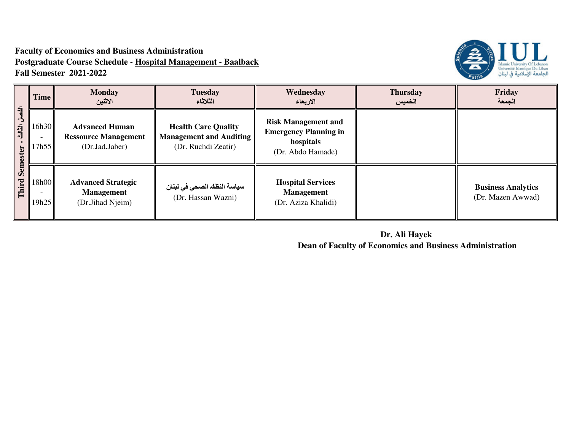## **Faculty of Economics and Business Administration Postgraduate Course Schedule - Hospital Management - BaalbackFall Semester 2021-2022**



| $\overline{a}$<br>$\rightarrow$<br>司<br>ester<br><b>Sem</b><br>Third | <b>Time</b>    | <b>Monday</b><br>الاثنين                                               | <b>Tuesday</b><br>الثلاثاء                                                          | Wednesday<br>الاربعاء                                                                        | <b>Thursday</b><br>الخميس | Friday<br>الجمعة                               |
|----------------------------------------------------------------------|----------------|------------------------------------------------------------------------|-------------------------------------------------------------------------------------|----------------------------------------------------------------------------------------------|---------------------------|------------------------------------------------|
|                                                                      | 16h30<br>7h55  | <b>Advanced Human</b><br><b>Ressource Management</b><br>(Dr.Jad.Jaber) | <b>Health Care Quality</b><br><b>Management and Auditing</b><br>(Dr. Ruchdi Zeatir) | <b>Risk Management and</b><br><b>Emergency Planning in</b><br>hospitals<br>(Dr. Abdo Hamade) |                           |                                                |
|                                                                      | 18h00<br>19h25 | <b>Advanced Strategic</b><br><b>Management</b><br>(Dr.Jihad Njeim)     | سياسة النظف الصحي في لبنان<br>(Dr. Hassan Wazni)                                    | <b>Hospital Services</b><br><b>Management</b><br>(Dr. Aziza Khalidi)                         |                           | <b>Business Analytics</b><br>(Dr. Mazen Awwad) |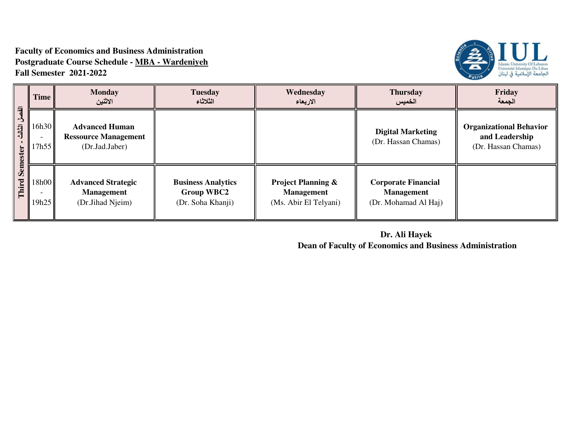### **Faculty of Economics and Business Administration Postgraduate Course Schedule - MBA - WardeniyehFall Semester 2021-2022**



| $\overline{a}$<br>5<br>الثالث<br>ter | Time           | <b>Monday</b><br>الاثنين                                               | <b>Tuesday</b><br>الثلاثاء                                          | Wednesday<br>الاربعاء                                                       | <b>Thursday</b><br>الخميس                                               | Friday<br>الجمعة                                                        |
|--------------------------------------|----------------|------------------------------------------------------------------------|---------------------------------------------------------------------|-----------------------------------------------------------------------------|-------------------------------------------------------------------------|-------------------------------------------------------------------------|
|                                      | 16h30<br>17h55 | <b>Advanced Human</b><br><b>Ressource Management</b><br>(Dr.Jad.Jaber) |                                                                     |                                                                             | <b>Digital Marketing</b><br>(Dr. Hassan Chamas)                         | <b>Organizational Behavior</b><br>and Leadership<br>(Dr. Hassan Chamas) |
| Sem<br>Third                         | 18h00<br>19h25 | <b>Advanced Strategic</b><br><b>Management</b><br>(Dr.Jihad Njeim)     | <b>Business Analytics</b><br><b>Group WBC2</b><br>(Dr. Soha Khanji) | <b>Project Planning &amp;</b><br><b>Management</b><br>(Ms. Abir El Telyani) | <b>Corporate Financial</b><br><b>Management</b><br>(Dr. Mohamad Al Haj) |                                                                         |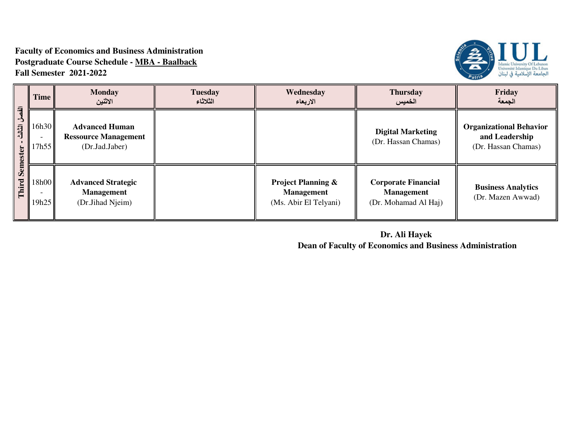#### **Faculty of Economics and Business Administration Postgraduate Course Schedule - MBA - BaalbackFall Semester 2021-2022**



|                            | <b>Time</b>    | <b>Monday</b><br>الاثنين                                               | <b>Tuesday</b><br>الثلاثاء | Wednesday<br>الاربعاء                                                       | <b>Thursday</b><br>الخميس                                               | <b>Friday</b><br>الجمعة                                                 |
|----------------------------|----------------|------------------------------------------------------------------------|----------------------------|-----------------------------------------------------------------------------|-------------------------------------------------------------------------|-------------------------------------------------------------------------|
| $\overline{a}$<br>司<br>ter | 16h30<br>17h55 | <b>Advanced Human</b><br><b>Ressource Management</b><br>(Dr.Jad.Jaber) |                            |                                                                             | <b>Digital Marketing</b><br>(Dr. Hassan Chamas)                         | <b>Organizational Behavior</b><br>and Leadership<br>(Dr. Hassan Chamas) |
| Ŏ<br>Third                 | 18h00<br>19h25 | <b>Advanced Strategic</b><br><b>Management</b><br>(Dr.Jihad Njeim)     |                            | <b>Project Planning &amp;</b><br><b>Management</b><br>(Ms. Abir El Telyani) | <b>Corporate Financial</b><br><b>Management</b><br>(Dr. Mohamad Al Haj) | <b>Business Analytics</b><br>(Dr. Mazen Awwad)                          |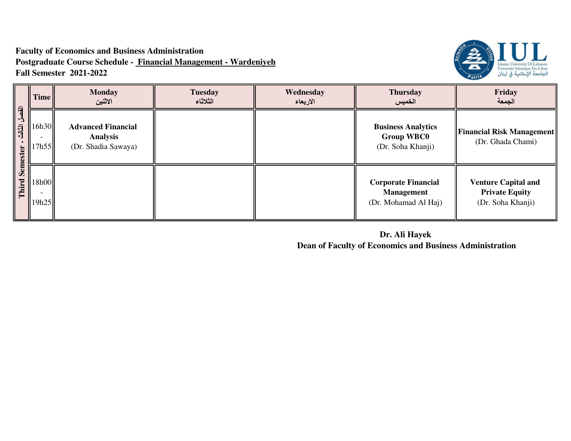## **Faculty of Economics and Business Administration Postgraduate Course Schedule - Financial Management - WardeniyehFall Semester 2021-2022**



|                          | <b>Time</b>    | <b>Monday</b><br>الاثنين                                            | <b>Tuesday</b><br>الثلاثاء | Wednesday<br>الاربعاء | <b>Thursday</b><br>الخميس                                               | Friday<br>الجمعة                                                         |
|--------------------------|----------------|---------------------------------------------------------------------|----------------------------|-----------------------|-------------------------------------------------------------------------|--------------------------------------------------------------------------|
| الفصل<br>الثالث<br>ester | 16h30<br>17h55 | <b>Advanced Financial</b><br><b>Analysis</b><br>(Dr. Shadia Sawaya) |                            |                       | <b>Business Analytics</b><br><b>Group WBC0</b><br>(Dr. Soha Khanji)     | <b>Financial Risk Management</b><br>(Dr. Ghada Chami)                    |
| Sem<br>Third             | 18h00<br>19h25 |                                                                     |                            |                       | <b>Corporate Financial</b><br><b>Management</b><br>(Dr. Mohamad Al Haj) | <b>Venture Capital and</b><br><b>Private Equity</b><br>(Dr. Soha Khanji) |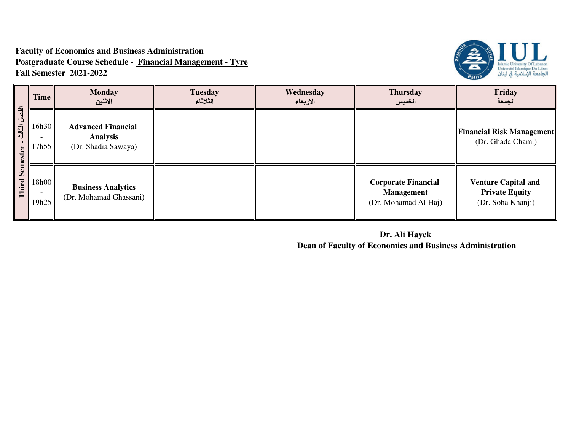## **Faculty of Economics and Business Administration Postgraduate Course Schedule - Financial Management - TyreFall Semester 2021-2022**



|                                                    | <b>Time</b>    | <b>Monday</b><br>الاثنين                                            | <b>Tuesday</b><br>الثلاثاء | Wednesday<br>الاربعاء | <b>Thursday</b><br>الخميس                                               | Friday<br>الجمعة                                                         |
|----------------------------------------------------|----------------|---------------------------------------------------------------------|----------------------------|-----------------------|-------------------------------------------------------------------------|--------------------------------------------------------------------------|
| $\overline{a}$<br>$\mathbf{\hat{z}}$<br>司<br>ester | 16h30<br>17h55 | <b>Advanced Financial</b><br><b>Analysis</b><br>(Dr. Shadia Sawaya) |                            |                       |                                                                         | <b>Financial Risk Management</b><br>(Dr. Ghada Chami)                    |
| <b>Sem</b><br>Third                                | 18h00<br>19h25 | <b>Business Analytics</b><br>(Dr. Mohamad Ghassani)                 |                            |                       | <b>Corporate Financial</b><br><b>Management</b><br>(Dr. Mohamad Al Haj) | <b>Venture Capital and</b><br><b>Private Equity</b><br>(Dr. Soha Khanji) |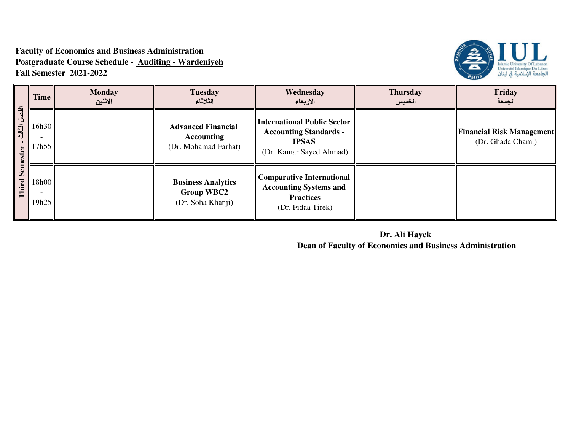## **Faculty of Economics and Business Administration Postgraduate Course Schedule - Auditing - WardeniyehFall Semester 2021-2022**



| $\overline{a}$<br>司<br>ester<br>Sem<br>Third | Time           | <b>Monday</b><br>الاثنين | <b>Tuesday</b><br>الثلاثاء                                             | Wednesday<br>الاربعاء                                                                                          | <b>Thursday</b><br>الخميس | Friday<br>الجمعة                                      |
|----------------------------------------------|----------------|--------------------------|------------------------------------------------------------------------|----------------------------------------------------------------------------------------------------------------|---------------------------|-------------------------------------------------------|
|                                              | 16h30<br>17h55 |                          | <b>Advanced Financial</b><br><b>Accounting</b><br>(Dr. Mohamad Farhat) | <b>International Public Sector</b><br><b>Accounting Standards -</b><br><b>IPSAS</b><br>(Dr. Kamar Sayed Ahmad) |                           | <b>Financial Risk Management</b><br>(Dr. Ghada Chami) |
|                                              | 18h00<br>19h25 |                          | <b>Business Analytics</b><br><b>Group WBC2</b><br>(Dr. Soha Khanji)    | <b>Comparative International</b><br><b>Accounting Systems and</b><br><b>Practices</b><br>(Dr. Fidaa Tirek)     |                           |                                                       |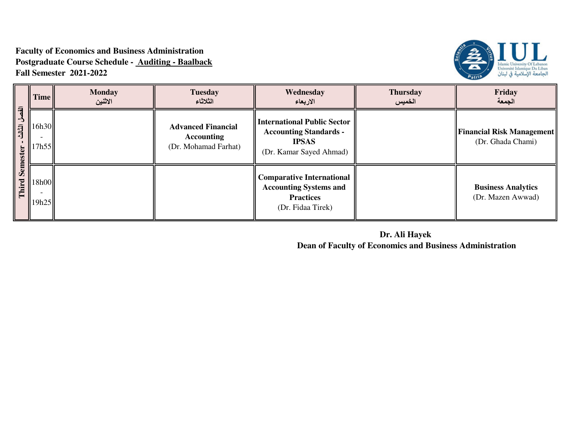## **Faculty of Economics and Business Administration Postgraduate Course Schedule - Auditing - BaalbackFall Semester 2021-2022**



| 刁<br>司<br>ter<br>Ō<br>Third | <b>Time</b>    | <b>Monday</b><br>الاثنين | <b>Tuesday</b><br>الثلاثاء                                             | Wednesday<br>الاربعاء                                                                                          | <b>Thursday</b><br>الخميس | Friday<br>الجمعة                                      |
|-----------------------------|----------------|--------------------------|------------------------------------------------------------------------|----------------------------------------------------------------------------------------------------------------|---------------------------|-------------------------------------------------------|
|                             | 16h30<br>7h55  |                          | <b>Advanced Financial</b><br><b>Accounting</b><br>(Dr. Mohamad Farhat) | <b>International Public Sector</b><br><b>Accounting Standards -</b><br><b>IPSAS</b><br>(Dr. Kamar Sayed Ahmad) |                           | <b>Financial Risk Management</b><br>(Dr. Ghada Chami) |
|                             | 18h00<br>19h25 |                          |                                                                        | <b>Comparative International</b><br><b>Accounting Systems and</b><br><b>Practices</b><br>(Dr. Fidaa Tirek)     |                           | <b>Business Analytics</b><br>(Dr. Mazen Awwad)        |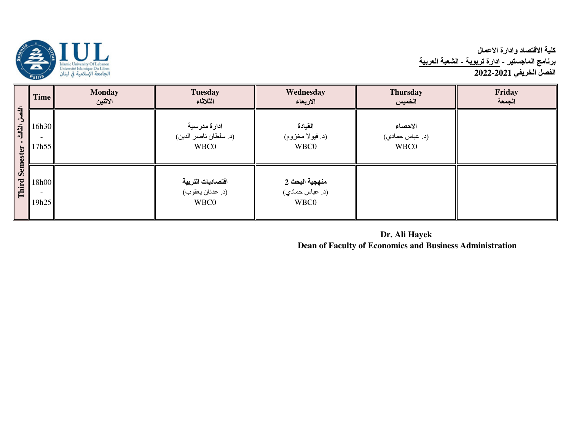

# كلية الاقتصاد وادارة الاع*م*ال برنامج الماجستير - <u>ادارة تربوية - الشعبة العربية</u><br>الفصل الخريفي 2021-2022

|                                                 | <b>Time</b>    | <b>Monday</b><br>الاثنين | <b>Tuesday</b><br>الثلاثاء                    | Wednesday<br>الاربعاء                     | <b>Thursday</b><br>الخميس          | Friday<br>الجمعة |
|-------------------------------------------------|----------------|--------------------------|-----------------------------------------------|-------------------------------------------|------------------------------------|------------------|
| $\overline{a}$<br>L,<br>信任<br>Semester<br>Third | 16h30<br>17h55 |                          | ادارة مدرسية<br>(د. سلطان ناصر الدين)<br>WBC0 | القيادة<br>(د. فيولا مخزوم)<br>WBC0       | الاحصاء<br>(د. عباس حمادي)<br>WBC0 |                  |
|                                                 | 18h00<br>19h25 |                          | اقتصاديات التربية<br>(د. عدنان يعقوب)<br>WBC0 | منهجية البحث 2<br>(د. عباس حمادي)<br>WBC0 |                                    |                  |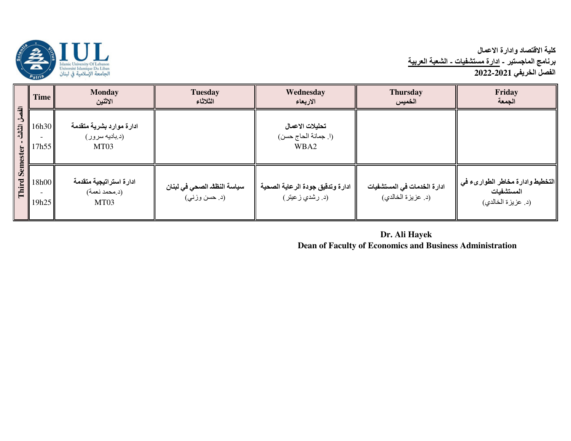

# كلية الاقتصاد وادارة الاع*م*ال برنامج الماجستير - <u>ادارة مستشفيات - الشعبة العربية</u><br>الفصل الخريفي 2021-2022

| $\overline{a}$  | <b>Time</b>    | <b>Monday</b><br>الاثنين                           | <b>Tuesday</b><br>الثلاثاء                    | Wednesday<br>الاربعاء                               | <b>Thursday</b><br>الخميس                         | Friday<br>الجمعة                                                     |
|-----------------|----------------|----------------------------------------------------|-----------------------------------------------|-----------------------------------------------------|---------------------------------------------------|----------------------------------------------------------------------|
| 司<br>Ŏ<br>Third | 16h30<br>17h55 | ادارة موارد بشرية متقدمة<br>(د بادیه سرور)<br>MT03 |                                               | تحليلات الاعمال<br>(ا. جمانة الحاج حسن)<br>WBA2     |                                                   |                                                                      |
|                 | 18h00<br>19h25 | ادارة استراتيجية متقدمة<br>(د.محمد نعمة)<br>MT03   | سياسة النظلد الصحي في لبنان<br>(د. حسن وزنبي) | ادارة وتدقيق جودة الرعاية الصحية<br>(د. رشدي زعيتر) | ادارة الخدمات في المستشفيات<br>(د. عزيزة الخالدي) | التخطيط وادارة مخاطر الطوارىء في<br>المستشفيات<br>(د. عزيزة الخالدي) |

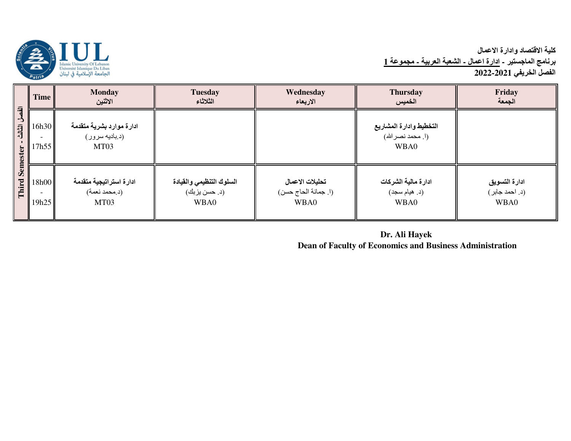كلية الاقتصاد وادارة الاع*م*ال <mark>برنامج الماجستير - ادارة اعمال ـ الشعبة العربية ـ مجموعة 1</mark> الفصل الخريفي 2021-2022



|                                                               | Time           | <b>Monday</b><br>الاثنين                           | <b>Tuesday</b><br>الثلاثاء                        | Wednesday<br>الاربعاء                           | <b>Thursday</b><br>الخميس                             | Friday<br>الجمعة                        |
|---------------------------------------------------------------|----------------|----------------------------------------------------|---------------------------------------------------|-------------------------------------------------|-------------------------------------------------------|-----------------------------------------|
| $\overline{a}$<br><sup>-</sup><br>旧位<br>ester<br>Sem<br>Third | 16h30<br>17h55 | ادارة موارد بشرية متقدمة<br>(د.باديه سرور)<br>MT03 |                                                   |                                                 | التخطيط وادارة المشاريع<br>(ا. محمد نصر الله)<br>WBA0 |                                         |
|                                                               | 18h00<br>19h25 | ادارة استراتيجية متقدمة<br>(د.محمد نعمة)<br>MT03   | السلوك التنظيمي والقيادة<br>(د. حسن بزبك)<br>WBA0 | تحليلات الاعمال<br>(ا. جمانة الحاج حسن)<br>WBA0 | ادارة مالية الشركات<br>(د. هيام سجد)<br>WBA0          | ادارة التسويق<br>(د. احمد جابر)<br>WBA0 |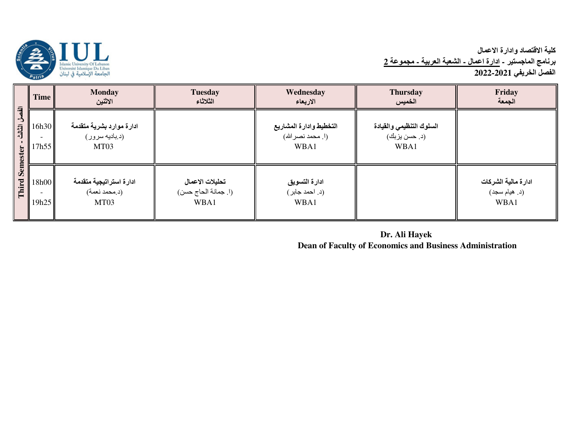

# كلية الاقتصاد وادارة الاع*م*ال <mark>برنامج الماجستير - ادارة اعمال ـ الشعبة العربية ـ مجموعة 2</mark> الفصل الخريف*ي* 2021-2022

| $\overline{a}$<br>$\Delta$<br>司司<br>ester<br>Sem<br>Third | <b>Time</b>    | <b>Monday</b><br>الاثنين                                       | <b>Tuesday</b><br>الثلاثاء                      | Wednesday<br>الاربعاء                                 | <b>Thursday</b><br>الخميس                         | Friday<br>الجمعة                             |
|-----------------------------------------------------------|----------------|----------------------------------------------------------------|-------------------------------------------------|-------------------------------------------------------|---------------------------------------------------|----------------------------------------------|
|                                                           | 16h30<br>7h55  | ادارة موارد بشرية متقدمة<br>(د بادیه سرور)<br>MT <sub>03</sub> |                                                 | التخطيط وادارة المشاريع<br>(ا. محمد نصر الله)<br>WBA1 | السلوك التنظيمي والقيادة<br>(د. حسن بزبك)<br>WBA1 |                                              |
|                                                           | 18h00<br>19h25 | ادارة استراتيجية متقدمة<br>(د.محمد نعمة)<br>MT03               | تحليلات الاعمال<br>(ا. جمانة الحاج حسن)<br>WBA1 | ادارة التسويق<br>(د. احمد جابر)<br>WBA1               |                                                   | ادارة مالية الشركات<br>(د. هيام سجد)<br>WBA1 |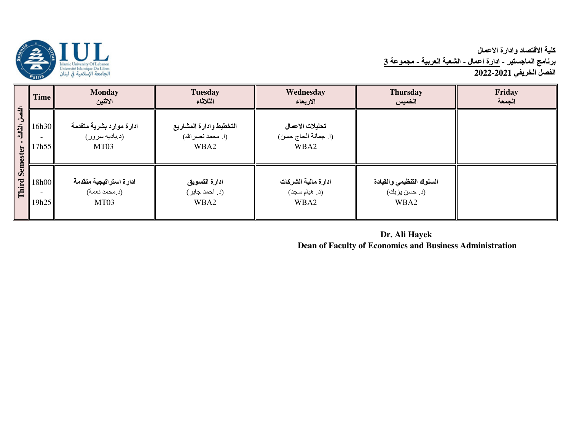

# كلية الاقتصاد وادارة الاع*م*ال <mark>برنامج الماجستير - ادارة اعمال ـ الشعبة العربية ـ مجموعة 3</mark> الفصل الخريف*ي* 2021-2022

|                                              | <b>Time</b>    | <b>Monday</b><br>الاثنين                                       | <b>Tuesday</b><br>الثلاثاء                            | Wednesday<br>الاربعاء                           | <b>Thursday</b><br>الخميس                         | Friday<br>الجمعة |
|----------------------------------------------|----------------|----------------------------------------------------------------|-------------------------------------------------------|-------------------------------------------------|---------------------------------------------------|------------------|
| $\overline{a}$<br>司<br>ester<br>Sem<br>Third | 16h30<br>17h55 | ادارة موارد بشرية متقدمة<br>(د بادیه سرور)<br>MT <sub>03</sub> | التخطيط وادارة المشاريع<br>(ا. محمد نصر الله)<br>WBA2 | تحليلات الاعمال<br>(ا. جمانة الحاج حسن)<br>WBA2 |                                                   |                  |
|                                              | 18h00<br>19h25 | ادارة استراتيجية متقدمة<br>(د.محمد نعمة)<br>MT03               | ادارة التسويق<br>(د. احمد جابر )<br>WBA2              | ادارة مالية الشركات<br>(د. هيام سجد)<br>WBA2    | السلوك التنظيمي والقيادة<br>(د. حسن بزبك)<br>WBA2 |                  |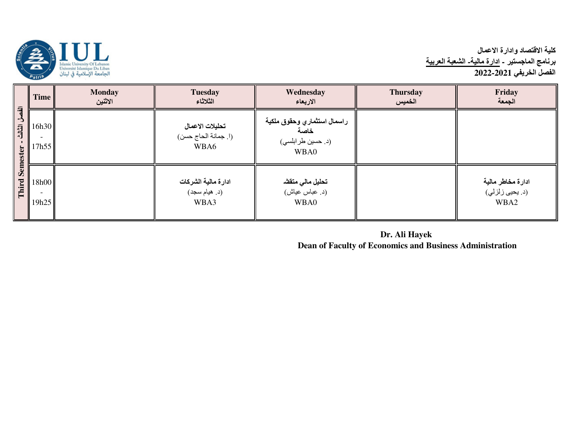

# كلية الاقتصاد وادارة الاع*م*ال برنامج الماجستير - <u>ادارة مالية- الشعبة العربية</u><br>الفصل الخريفي 2021-2022

| $\overline{a}$<br>سل الثالث<br>Semester | <b>Time</b>    | <b>Monday</b><br>الاثنين | <b>Tuesday</b><br>الثلاثاء                      | Wednesday<br>الاربعاء                                            | <b>Thursday</b><br>الخميس | Friday<br>الجمعة                             |
|-----------------------------------------|----------------|--------------------------|-------------------------------------------------|------------------------------------------------------------------|---------------------------|----------------------------------------------|
|                                         | 16h30<br>17h55 |                          | تحليلات الاعمال<br>(ا. جمانة الحاج حسن)<br>WBA6 | راسمال استثماري وحقوق ملكية<br>خاصة<br>(د. حسين طرابلسي)<br>WBA0 |                           |                                              |
| Third                                   | 18h00<br>19h25 |                          | ادارة مالية الشركات<br>(د. هيام سجد)<br>WBA3    | تحليل مالي متقشه<br>(د. عباس عياش)<br>WBA0                       |                           | ادارة مخاطر مالية<br>(د. بحيى زلزلي)<br>WBA2 |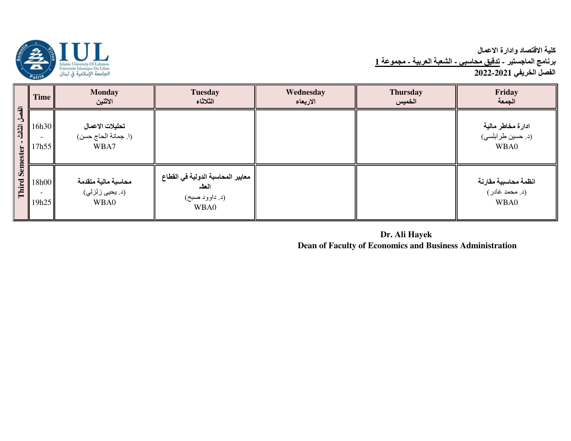

# كلية الاقتصاد وادارة الاع*م*ال برنامج الماجستير - <u>تدقيق محاسبى - الشعبة العربية - مجموعة 1</u> الفصل الخريف*ي* 2022-2021

|                                                                | Time           | <b>Monday</b><br>الاثنين                        | <b>Tuesday</b><br>الثلاثاء                                           | Wednesday<br>الاربعاء | <b>Thursday</b><br>الخميس | Friday<br>الجمعة                               |
|----------------------------------------------------------------|----------------|-------------------------------------------------|----------------------------------------------------------------------|-----------------------|---------------------------|------------------------------------------------|
| $\overline{a}$<br>L,<br>الثالث<br>ester<br><b>Sem</b><br>Third | 16h30<br>17h55 | تحليلات الاعمال<br>(ا. جمانة الحاج حسن)<br>WBA7 |                                                                      |                       |                           | ادارة مخاطر مالية<br>(د. حسين طرابلسي)<br>WBA0 |
|                                                                | 18h00<br>19h25 | محاسبة مالية متقدمة<br>(د. يحيى زلزلي)<br>WBA0  | معايير المحاسبة الدولية في القطاع<br>العلد<br>(د. داوود صبح)<br>WBA0 |                       |                           | انظمة محاسبية مقارنة<br>(د. محمد غادر)<br>WBA0 |